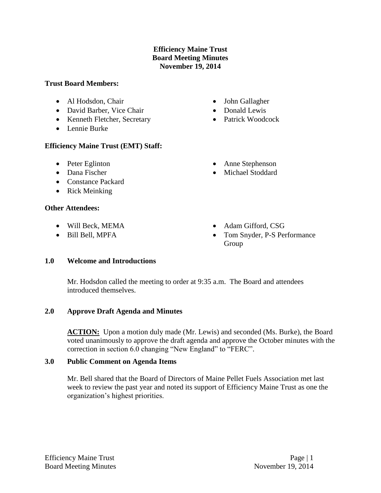# **Efficiency Maine Trust Board Meeting Minutes November 19, 2014**

### **Trust Board Members:**

- Al Hodsdon, Chair
- David Barber, Vice Chair
- Kenneth Fletcher, Secretary
- Lennie Burke

# **Efficiency Maine Trust (EMT) Staff:**

- Peter Eglinton
- Dana Fischer
- Constance Packard
- Rick Meinking

### **Other Attendees:**

- Will Beck, MEMA
- Bill Bell, MPFA
- John Gallagher
- Donald Lewis
- Patrick Woodcock
- Anne Stephenson
- Michael Stoddard
- Adam Gifford, CSG
- Tom Snyder, P-S Performance Group

# **1.0 Welcome and Introductions**

Mr. Hodsdon called the meeting to order at 9:35 a.m. The Board and attendees introduced themselves.

# **2.0 Approve Draft Agenda and Minutes**

**ACTION:** Upon a motion duly made (Mr. Lewis) and seconded (Ms. Burke), the Board voted unanimously to approve the draft agenda and approve the October minutes with the correction in section 6.0 changing "New England" to "FERC".

# **3.0 Public Comment on Agenda Items**

Mr. Bell shared that the Board of Directors of Maine Pellet Fuels Association met last week to review the past year and noted its support of Efficiency Maine Trust as one the organization's highest priorities.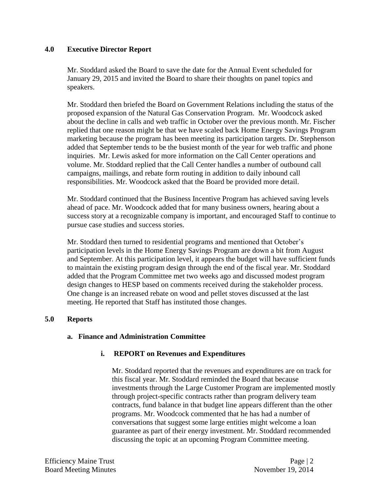### **4.0 Executive Director Report**

Mr. Stoddard asked the Board to save the date for the Annual Event scheduled for January 29, 2015 and invited the Board to share their thoughts on panel topics and speakers.

Mr. Stoddard then briefed the Board on Government Relations including the status of the proposed expansion of the Natural Gas Conservation Program. Mr. Woodcock asked about the decline in calls and web traffic in October over the previous month. Mr. Fischer replied that one reason might be that we have scaled back Home Energy Savings Program marketing because the program has been meeting its participation targets. Dr. Stephenson added that September tends to be the busiest month of the year for web traffic and phone inquiries. Mr. Lewis asked for more information on the Call Center operations and volume. Mr. Stoddard replied that the Call Center handles a number of outbound call campaigns, mailings, and rebate form routing in addition to daily inbound call responsibilities. Mr. Woodcock asked that the Board be provided more detail.

Mr. Stoddard continued that the Business Incentive Program has achieved saving levels ahead of pace. Mr. Woodcock added that for many business owners, hearing about a success story at a recognizable company is important, and encouraged Staff to continue to pursue case studies and success stories.

Mr. Stoddard then turned to residential programs and mentioned that October's participation levels in the Home Energy Savings Program are down a bit from August and September. At this participation level, it appears the budget will have sufficient funds to maintain the existing program design through the end of the fiscal year. Mr. Stoddard added that the Program Committee met two weeks ago and discussed modest program design changes to HESP based on comments received during the stakeholder process. One change is an increased rebate on wood and pellet stoves discussed at the last meeting. He reported that Staff has instituted those changes.

#### **5.0 Reports**

#### **a. Finance and Administration Committee**

# **i. REPORT on Revenues and Expenditures**

Mr. Stoddard reported that the revenues and expenditures are on track for this fiscal year. Mr. Stoddard reminded the Board that because investments through the Large Customer Program are implemented mostly through project-specific contracts rather than program delivery team contracts, fund balance in that budget line appears different than the other programs. Mr. Woodcock commented that he has had a number of conversations that suggest some large entities might welcome a loan guarantee as part of their energy investment. Mr. Stoddard recommended discussing the topic at an upcoming Program Committee meeting.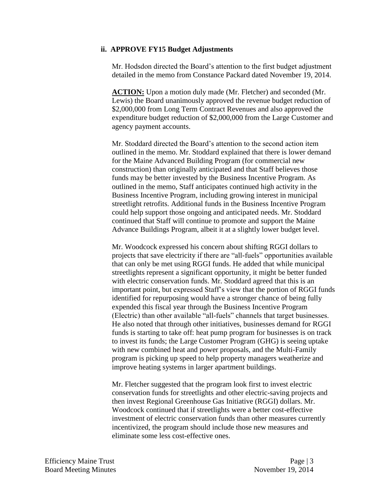#### **ii. APPROVE FY15 Budget Adjustments**

Mr. Hodsdon directed the Board's attention to the first budget adjustment detailed in the memo from Constance Packard dated November 19, 2014.

**ACTION:** Upon a motion duly made (Mr. Fletcher) and seconded (Mr. Lewis) the Board unanimously approved the revenue budget reduction of \$2,000,000 from Long Term Contract Revenues and also approved the expenditure budget reduction of \$2,000,000 from the Large Customer and agency payment accounts.

Mr. Stoddard directed the Board's attention to the second action item outlined in the memo. Mr. Stoddard explained that there is lower demand for the Maine Advanced Building Program (for commercial new construction) than originally anticipated and that Staff believes those funds may be better invested by the Business Incentive Program. As outlined in the memo, Staff anticipates continued high activity in the Business Incentive Program, including growing interest in municipal streetlight retrofits. Additional funds in the Business Incentive Program could help support those ongoing and anticipated needs. Mr. Stoddard continued that Staff will continue to promote and support the Maine Advance Buildings Program, albeit it at a slightly lower budget level.

Mr. Woodcock expressed his concern about shifting RGGI dollars to projects that save electricity if there are "all-fuels" opportunities available that can only be met using RGGI funds. He added that while municipal streetlights represent a significant opportunity, it might be better funded with electric conservation funds. Mr. Stoddard agreed that this is an important point, but expressed Staff's view that the portion of RGGI funds identified for repurposing would have a stronger chance of being fully expended this fiscal year through the Business Incentive Program (Electric) than other available "all-fuels" channels that target businesses. He also noted that through other initiatives, businesses demand for RGGI funds is starting to take off: heat pump program for businesses is on track to invest its funds; the Large Customer Program (GHG) is seeing uptake with new combined heat and power proposals, and the Multi-Family program is picking up speed to help property managers weatherize and improve heating systems in larger apartment buildings.

Mr. Fletcher suggested that the program look first to invest electric conservation funds for streetlights and other electric-saving projects and then invest Regional Greenhouse Gas Initiative (RGGI) dollars. Mr. Woodcock continued that if streetlights were a better cost-effective investment of electric conservation funds than other measures currently incentivized, the program should include those new measures and eliminate some less cost-effective ones.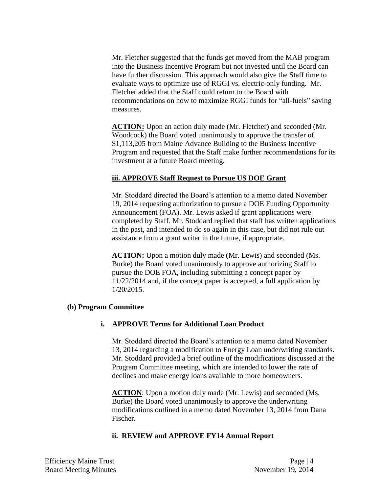Mr. Fletcher suggested that the funds get moved from the MAB program into the Business Incentive Program but not invested until the Board can have further discussion. This approach would also give the Staff time to evaluate ways to optimize use of RGGI vs. electric-only funding. Mr. Fletcher added that the Staff could return to the Board with recommendations on how to maximize RGGI funds for "all-fuels" saving measures.

**ACTION:** Upon an action duly made (Mr. Fletcher) and seconded (Mr. Woodcock) the Board voted unanimously to approve the transfer of \$1,113,205 from Maine Advance Building to the Business Incentive Program and requested that the Staff make further recommendations for its investment at a future Board meeting.

# **iii. APPROVE Staff Request to Pursue US DOE Grant**

Mr. Stoddard directed the Board's attention to a memo dated November 19, 2014 requesting authorization to pursue a DOE Funding Opportunity Announcement (FOA). Mr. Lewis asked if grant applications were completed by Staff. Mr. Stoddard replied that staff has written applications in the past, and intended to do so again in this case, but did not rule out assistance from a grant writer in the future, if appropriate.

**ACTION:** Upon a motion duly made (Mr. Lewis) and seconded (Ms. Burke) the Board voted unanimously to approve authorizing Staff to pursue the DOE FOA, including submitting a concept paper by 11/22/2014 and, if the concept paper is accepted, a full application by 1/20/2015.

#### **(b) Program Committee**

# **i. APPROVE Terms for Additional Loan Product**

Mr. Stoddard directed the Board's attention to a memo dated November 13, 2014 regarding a modification to Energy Loan underwriting standards. Mr. Stoddard provided a brief outline of the modifications discussed at the Program Committee meeting, which are intended to lower the rate of declines and make energy loans available to more homeowners.

**ACTION**: Upon a motion duly made (Mr. Lewis) and seconded (Ms. Burke) the Board voted unanimously to approve the underwriting modifications outlined in a memo dated November 13, 2014 from Dana Fischer.

# **ii. REVIEW and APPROVE FY14 Annual Report**